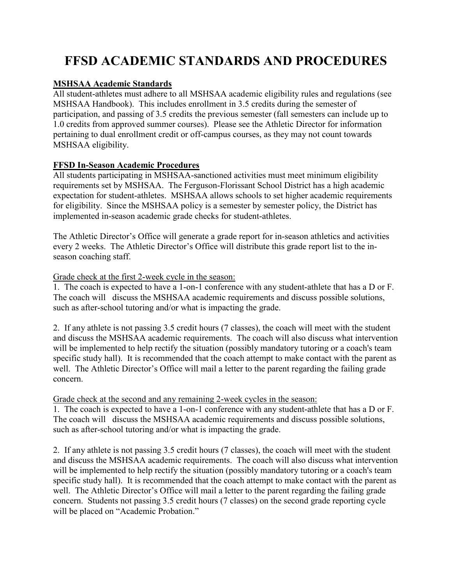# **FFSD ACADEMIC STANDARDS AND PROCEDURES**

## **MSHSAA Academic Standards**

All student-athletes must adhere to all MSHSAA academic eligibility rules and regulations (see MSHSAA Handbook). This includes enrollment in 3.5 credits during the semester of participation, and passing of 3.5 credits the previous semester (fall semesters can include up to 1.0 credits from approved summer courses). Please see the Athletic Director for information pertaining to dual enrollment credit or off-campus courses, as they may not count towards MSHSAA eligibility.

### **FFSD In-Season Academic Procedures**

All students participating in MSHSAA-sanctioned activities must meet minimum eligibility requirements set by MSHSAA. The Ferguson-Florissant School District has a high academic expectation for student-athletes. MSHSAA allows schools to set higher academic requirements for eligibility. Since the MSHSAA policy is a semester by semester policy, the District has implemented in-season academic grade checks for student-athletes.

The Athletic Director's Office will generate a grade report for in-season athletics and activities every 2 weeks. The Athletic Director's Office will distribute this grade report list to the inseason coaching staff.

#### Grade check at the first 2-week cycle in the season:

1. The coach is expected to have a 1-on-1 conference with any student-athlete that has a D or F. The coach will discuss the MSHSAA academic requirements and discuss possible solutions, such as after-school tutoring and/or what is impacting the grade.

2. If any athlete is not passing 3.5 credit hours (7 classes), the coach will meet with the student and discuss the MSHSAA academic requirements. The coach will also discuss what intervention will be implemented to help rectify the situation (possibly mandatory tutoring or a coach's team specific study hall). It is recommended that the coach attempt to make contact with the parent as well. The Athletic Director's Office will mail a letter to the parent regarding the failing grade concern.

#### Grade check at the second and any remaining 2-week cycles in the season:

1. The coach is expected to have a 1-on-1 conference with any student-athlete that has a D or F. The coach will discuss the MSHSAA academic requirements and discuss possible solutions, such as after-school tutoring and/or what is impacting the grade.

2. If any athlete is not passing 3.5 credit hours (7 classes), the coach will meet with the student and discuss the MSHSAA academic requirements. The coach will also discuss what intervention will be implemented to help rectify the situation (possibly mandatory tutoring or a coach's team specific study hall). It is recommended that the coach attempt to make contact with the parent as well. The Athletic Director's Office will mail a letter to the parent regarding the failing grade concern. Students not passing 3.5 credit hours (7 classes) on the second grade reporting cycle will be placed on "Academic Probation."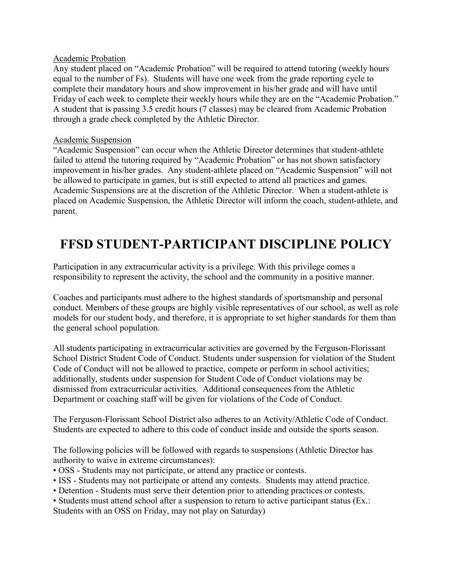#### Academic Probation

Any student placed on "Academic Probation" will be required to attend tutoring (weekly hours equal to the number of Fs). Students will have one week from the grade reporting cycle to complete their mandatory hours and show improvement in his/her grade and will have until Friday of each week to complete their weekly hours while they are on the "Academic Probation." A student that is passing 3.5 credit hours (7 classes) may be cleared from Academic Probation through a grade check completed by the Athletic Director.

#### Academic Suspension

"Academic Suspension" can occur when the Athletic Director determines that student-athlete failed to attend the tutoring required by "Academic Probation" or has not shown satisfactory improvement in his/her grades. Any student-athlete placed on "Academic Suspension" will not be allowed to participate in games, but is still expected to attend all practices and games. Academic Suspensions are at the discretion of the Athletic Director. When a student-athlete is placed on Academic Suspension, the Athletic Director will inform the coach, student-athlete, and parent.

# **FFSD STUDENT-PARTICIPANT DISCIPLINE POLICY**

Participation in any extracurricular activity is a privilege. With this privilege comes a responsibility to represent the activity, the school and the community in a positive manner.

Coaches and participants must adhere to the highest standards of sportsmanship and personal conduct. Members of these groups are highly visible representatives of our school, as well as role models for our student body, and therefore, it is appropriate to set higher standards for them than the general school population.

All students participating in extracurricular activities are governed by the Ferguson-Florissant School District Student Code of Conduct. Students under suspension for violation of the Student Code of Conduct will not be allowed to practice, compete or perform in school activities; additionally, students under suspension for Student Code of Conduct violations may be dismissed from extracurricular activities. Additional consequences from the Athletic Department or coaching staff will be given for violations of the Code of Conduct.

The Ferguson-Florissant School District also adheres to an Activity/Athletic Code of Conduct. Students are expected to adhere to this code of conduct inside and outside the sports season.

The following policies will be followed with regards to suspensions (Athletic Director has authority to waive in extreme circumstances):

- OSS Students may not participate, or attend any practice or contests.
- ISS Students may not participate or attend any contests. Students may attend practice.
- Detention Students must serve their detention prior to attending practices or contests.
- Students must attend school after a suspension to return to active participant status (Ex.:

Students with an OSS on Friday, may not play on Saturday)